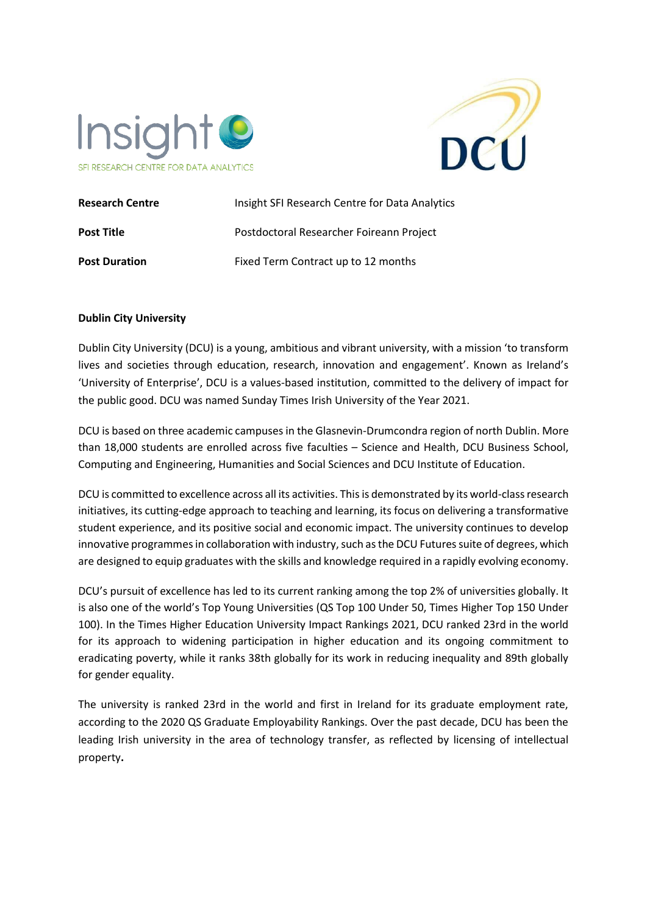



| <b>Research Centre</b> | Insight SFI Research Centre for Data Analytics |
|------------------------|------------------------------------------------|
| <b>Post Title</b>      | Postdoctoral Researcher Foireann Project       |
| <b>Post Duration</b>   | Fixed Term Contract up to 12 months            |

#### **Dublin City University**

Dublin City University (DCU) is a young, ambitious and vibrant university, with a mission 'to transform lives and societies through education, research, innovation and engagement'. Known as Ireland's 'University of Enterprise', DCU is a values-based institution, committed to the delivery of impact for the public good. DCU was named Sunday Times Irish University of the Year 2021.

DCU is based on three academic campuses in the Glasnevin-Drumcondra region of north Dublin. More than 18,000 students are enrolled across five faculties – Science and Health, DCU Business School, Computing and Engineering, Humanities and Social Sciences and DCU Institute of Education.

DCU is committed to excellence across all its activities. This is demonstrated by its world-class research initiatives, its cutting-edge approach to teaching and learning, its focus on delivering a transformative student experience, and its positive social and economic impact. The university continues to develop innovative programmes in collaboration with industry, such as the DCU Futures suite of degrees, which are designed to equip graduates with the skills and knowledge required in a rapidly evolving economy.

DCU's pursuit of excellence has led to its current ranking among the top 2% of universities globally. It is also one of the world's Top Young Universities (QS Top 100 Under 50, Times Higher Top 150 Under 100). In the Times Higher Education University Impact Rankings 2021, DCU ranked 23rd in the world for its approach to widening participation in higher education and its ongoing commitment to eradicating poverty, while it ranks 38th globally for its work in reducing inequality and 89th globally for gender equality.

The university is ranked 23rd in the world and first in Ireland for its graduate employment rate, according to the 2020 QS Graduate Employability Rankings. Over the past decade, DCU has been the leading Irish university in the area of technology transfer, as reflected by licensing of intellectual property**.**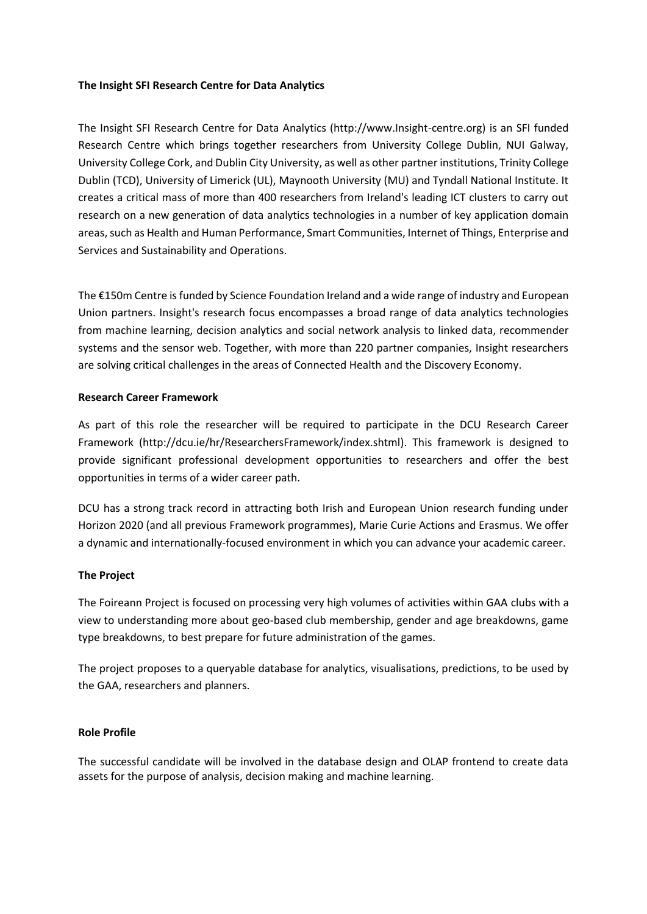#### **The Insight SFI Research Centre for Data Analytics**

The Insight SFI Research Centre for Data Analytics (http://www.Insight-centre.org) is an SFI funded Research Centre which brings together researchers from University College Dublin, NUI Galway, University College Cork, and Dublin City University, as well as other partner institutions, Trinity College Dublin (TCD), University of Limerick (UL), Maynooth University (MU) and Tyndall National Institute. It creates a critical mass of more than 400 researchers from Ireland's leading ICT clusters to carry out research on a new generation of data analytics technologies in a number of key application domain areas, such as Health and Human Performance, Smart Communities, Internet of Things, Enterprise and Services and Sustainability and Operations.

The €150m Centre is funded by Science Foundation Ireland and a wide range of industry and European Union partners. Insight's research focus encompasses a broad range of data analytics technologies from machine learning, decision analytics and social network analysis to linked data, recommender systems and the sensor web. Together, with more than 220 partner companies, Insight researchers are solving critical challenges in the areas of Connected Health and the Discovery Economy.

### **Research Career Framework**

As part of this role the researcher will be required to participate in the DCU Research Career Framework [\(http://dcu.ie/hr/ResearchersFramework/index.shtml\)](http://dcu.ie/hr/ResearchersFramework/index.shtml). This framework is designed to provide significant professional development opportunities to researchers and offer the best opportunities in terms of a wider career path.

DCU has a strong track record in attracting both Irish and European Union research funding under Horizon 2020 (and all previous Framework programmes), Marie Curie Actions and Erasmus. We offer a dynamic and internationally-focused environment in which you can advance your academic career.

#### **The Project**

The Foireann Project is focused on processing very high volumes of activities within GAA clubs with a view to understanding more about geo-based club membership, gender and age breakdowns, game type breakdowns, to best prepare for future administration of the games.

The project proposes to a queryable database for analytics, visualisations, predictions, to be used by the GAA, researchers and planners.

#### **Role Profile**

The successful candidate will be involved in the database design and OLAP frontend to create data assets for the purpose of analysis, decision making and machine learning.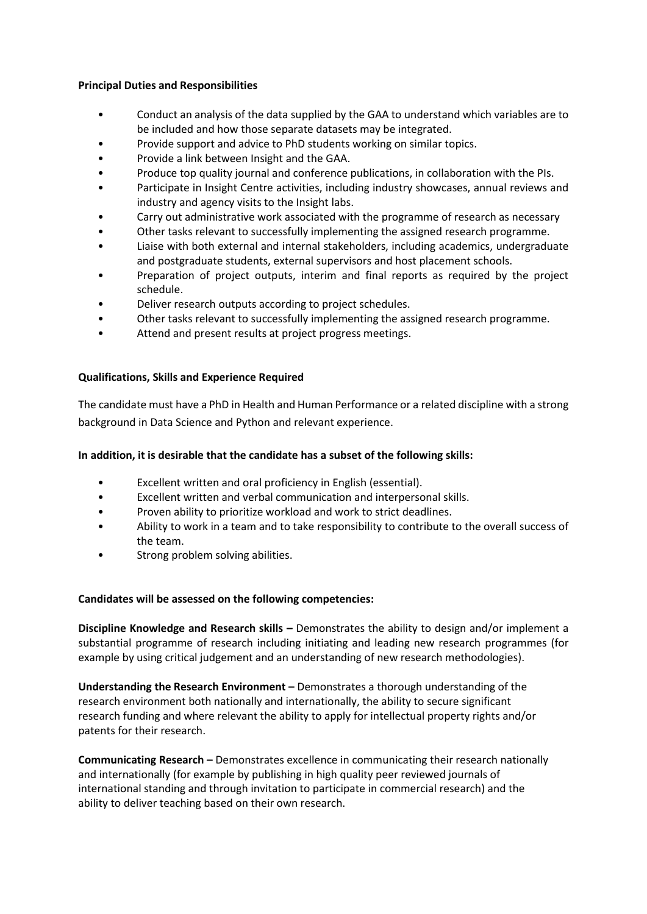### **Principal Duties and Responsibilities**

- Conduct an analysis of the data supplied by the GAA to understand which variables are to be included and how those separate datasets may be integrated.
- Provide support and advice to PhD students working on similar topics.
- Provide a link between Insight and the GAA.
- Produce top quality journal and conference publications, in collaboration with the PIs.
- Participate in Insight Centre activities, including industry showcases, annual reviews and industry and agency visits to the Insight labs.
- Carry out administrative work associated with the programme of research as necessary
- Other tasks relevant to successfully implementing the assigned research programme.
- Liaise with both external and internal stakeholders, including academics, undergraduate and postgraduate students, external supervisors and host placement schools.
- Preparation of project outputs, interim and final reports as required by the project schedule.
- Deliver research outputs according to project schedules.
- Other tasks relevant to successfully implementing the assigned research programme.
- Attend and present results at project progress meetings.

### **Qualifications, Skills and Experience Required**

The candidate must have a PhD in Health and Human Performance or a related discipline with a strong background in Data Science and Python and relevant experience.

# **In addition, it is desirable that the candidate has a subset of the following skills:**

- Excellent written and oral proficiency in English (essential).
- Excellent written and verbal communication and interpersonal skills.
- Proven ability to prioritize workload and work to strict deadlines.
- Ability to work in a team and to take responsibility to contribute to the overall success of the team.
- Strong problem solving abilities.

# **Candidates will be assessed on the following competencies:**

**Discipline Knowledge and Research skills –** Demonstrates the ability to design and/or implement a substantial programme of research including initiating and leading new research programmes (for example by using critical judgement and an understanding of new research methodologies).

**Understanding the Research Environment –** Demonstrates a thorough understanding of the research environment both nationally and internationally, the ability to secure significant research funding and where relevant the ability to apply for intellectual property rights and/or patents for their research.

**Communicating Research –** Demonstrates excellence in communicating their research nationally and internationally (for example by publishing in high quality peer reviewed journals of international standing and through invitation to participate in commercial research) and the ability to deliver teaching based on their own research.